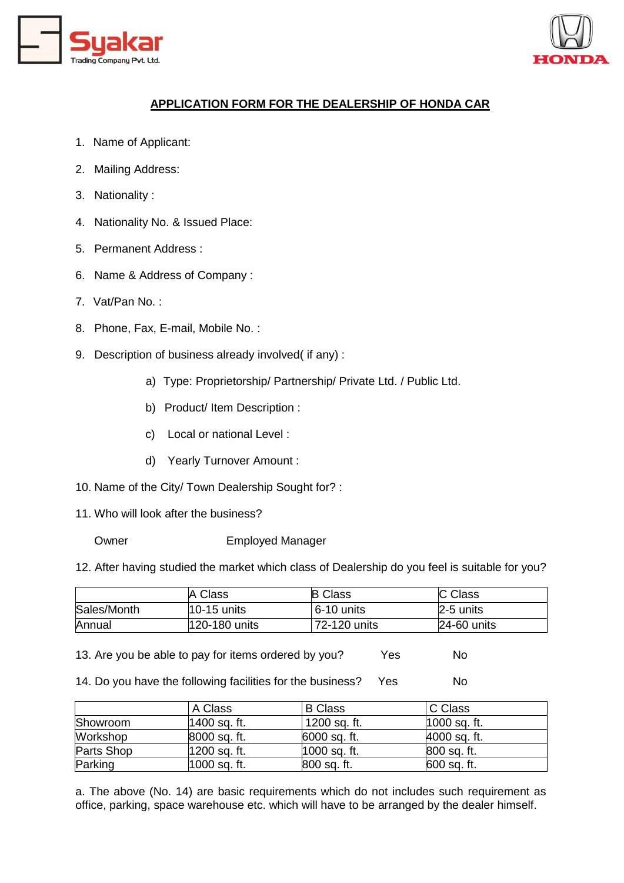



## **APPLICATION FORM FOR THE DEALERSHIP OF HONDA CAR**

- 1. Name of Applicant:
- 2. Mailing Address:
- 3. Nationality :
- 4. Nationality No. & Issued Place:
- 5. Permanent Address :
- 6. Name & Address of Company :
- 7. Vat/Pan No. :
- 8. Phone, Fax, E-mail, Mobile No. :
- 9. Description of business already involved( if any) :
	- a) Type: Proprietorship/ Partnership/ Private Ltd. / Public Ltd.
	- b) Product/ Item Description :
	- c) Local or national Level :
	- d) Yearly Turnover Amount :
- 10. Name of the City/ Town Dealership Sought for? :
- 11. Who will look after the business?
	-
	- Owner Employed Manager

12. After having studied the market which class of Dealership do you feel is suitable for you?

|             | A Class       | <b>B</b> Class | C Class     |
|-------------|---------------|----------------|-------------|
| Sales/Month | $10-15$ units | $6-10$ units   | 2-5 units   |
| Annual      | 120-180 units | 72-120 units   | 24-60 units |

13. Are you be able to pay for items ordered by you? Yes No

14. Do you have the following facilities for the business? Yes No

|            | A Class        | <b>B</b> Class | C Class      |
|------------|----------------|----------------|--------------|
| Showroom   | 1400 sq. ft.   | 1200 sq. ft.   | 1000 sq. ft. |
| Workshop   | 8000 sq. ft.   | 6000 sq. ft.   | 4000 sq. ft. |
| Parts Shop | 1200 sq. ft.   | $1000$ sq. ft. | 800 sq. ft.  |
| Parking    | $1000$ sq. ft. | 800 sq. ft.    | 600 sq. ft.  |

a. The above (No. 14) are basic requirements which do not includes such requirement as office, parking, space warehouse etc. which will have to be arranged by the dealer himself.